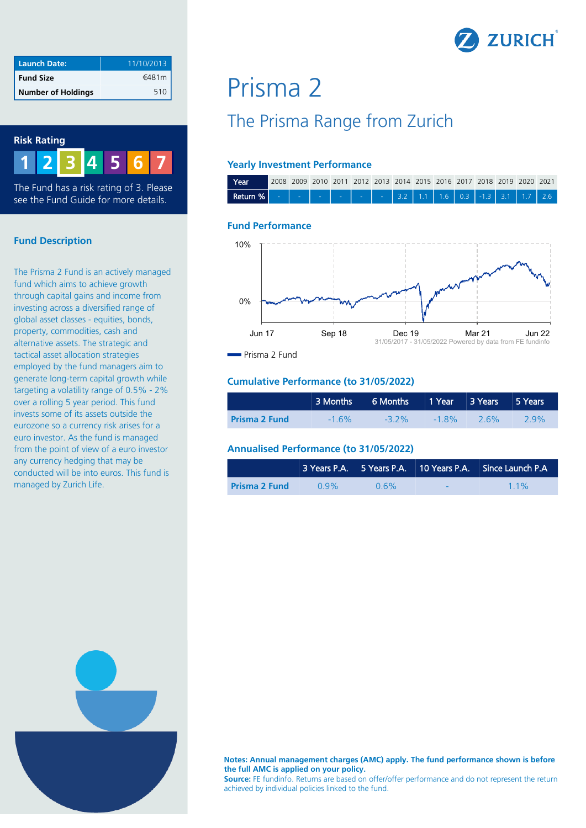

| <b>Launch Date:</b>       | 11/10/2013 |
|---------------------------|------------|
| <b>Fund Size</b>          | €481m      |
| <b>Number of Holdings</b> | 510        |



The Fund has a risk rating of 3. Please see the Fund Guide for more details.

#### **Fund Description**

The Prisma 2 Fund is an actively managed fund which aims to achieve growth through capital gains and income from investing across a diversified range of global asset classes - equities, bonds, property, commodities, cash and alternative assets. The strategic and tactical asset allocation strategies employed by the fund managers aim to generate long-term capital growth while targeting a volatility range of 0.5% - 2% over a rolling 5 year period. This fund invests some of its assets outside the eurozone so a currency risk arises for a euro investor. As the fund is managed from the point of view of a euro investor any currency hedging that may be conducted will be into euros. This fund is managed by Zurich Life.

# Prisma 2

# The Prisma Range from Zurich

#### **Yearly Investment Performance**



#### **Fund Performance**



Prisma 2 Fund

#### **Cumulative Performance (to 31/05/2022)**

|                      | 3 Months 6 Months 1 Year 3 Years 5 Years |          |          |        |     |
|----------------------|------------------------------------------|----------|----------|--------|-----|
| <b>Prisma 2 Fund</b> | $-1.6\%$                                 | $-3.2\%$ | $-1.8\%$ | $-26%$ | 29% |

#### **Annualised Performance (to 31/05/2022)**

|                      |         |         |     | 3 Years P.A. 5 Years P.A. 10 Years P.A. Since Launch P.A. |
|----------------------|---------|---------|-----|-----------------------------------------------------------|
| <b>Prisma 2 Fund</b> | $0.9\%$ | $0.6\%$ | a s | $11\%$                                                    |



**Notes: Annual management charges (AMC) apply. The fund performance shown is before the full AMC is applied on your policy.** 

**Source:** FE fundinfo. Returns are based on offer/offer performance and do not represent the return achieved by individual policies linked to the fund.